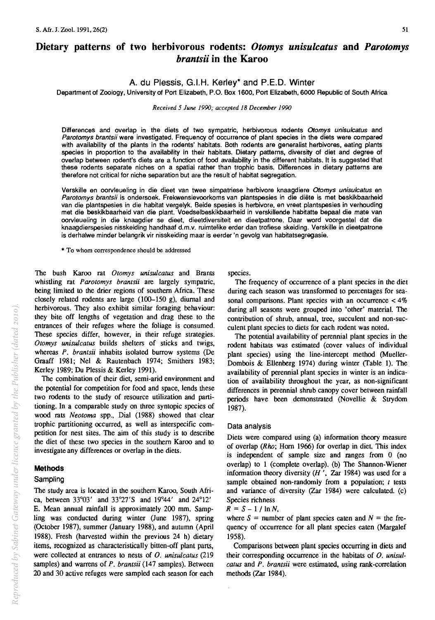# **Dietary patterns of two herbivorous rodents:** *Otomys unisulcatus* **and** *Parotomys brantsii* **in the Karoo**

# A. du Plessis, G.I.H. Kerley\* and P.E.D. Winter

Department of Zoology, University of Port Elizabeth, P.O. Box 1600, Port Elizabeth, 6000 Republic of South Africa

*Received* 5 *June 1990; accepted* 18 *December 1990* 

Differences and overlap in the diets of two sympatric, herbivorous rodents *Otomys unisulcatus* and *Parotomys brantsii* were investigated. Frequency of occurrence of plant species in the diets were compared with availability of the plants in the rodents' habitats. Both rodents are generalist herbivores, eating plants species in proportion to the availability in their habitats. Dietary patterns, diversity of diet and degree of overlap between rodent's diets are a function of food availability in the different habitats. It is suggested that these rodents separate niches on a spatial rather than trophic basis. Differences in dietary patterns are therefore not critical for niche separation but are the result of habitat segregation.

Verskille en oorvleueling in die dieet van twee simpatriese herbivore knaagdiere *Otomys unisulcatus* en *Parotomys brantsii* is ondersoek. Frekwensievoorkoms van plantspesies in die diete is met beskikbaarheid van die plantspesies in die habitat vergelyk. Beide spesies is herbivore, en vreet plantspesies in verhouding met die beskikbaarheid van die plant. Voedselbeskikbaarheid in verskillende habitatte bepaal die mate van oorvleueling in die knaagdier se dieet, dieetdiversiteit en dieetpatrone. Daar word voorgestel dat die knaagdierspesies nisskeiding handhaaf d.m.v. ruimtelike erder dan trofiese skeiding. Verskille in dieetpatrone is derhalwe minder belangrik vir nisskeiding maar is eerder 'n gevolg van habitatsegregasie.

\* To whom correspondence should be addressed

The bush Karoo rat *Otomys unisuleatus* and Brants whistling rat *Parotomys brantsii* are largely sympatric, being limited to the drier regions of southern Africa. These closely related rodents are large (100-150 g), diurnal and herbivorous. They also exhibit similar foraging behaviour: they bite off lengths of vegetation and drag these to the entrances of their refuges where the foliage is consumed. These species differ, however, in their refuge strategies. *Otomys unisuleatus* builds shelters of sticks and twigs, whereas *P. brantsii* inhabits isolated burrow systems (De Graaff 1981; Nel & Rautenbach 1974; Smithers 1983; Kerley 1989; Du Plessis & Kerley 1991).

The combination of their diet, semi-arid environment and the potential for competition for food and space, lends these two rodents to the study of resource utilization and partitioning. In a comparable study on three syntopic species of wood rats *Neotoma* spp., Dial (1988) showed that clear trophic partitioning occurred, as well as interspecific competition for nest sites. The aim of this study is to describe the diet of these two species in the southern Karoo and to investigate any differences or overlap in the diets.

## **Methods**

## Sampling

The study area is located in the southern Karoo, South Africa, between 33°03' and 33°27'S and 19°44' and 24°12' E. Mean annual rainfall is approximately 200 mm. Sampling was conducted during winter (June 1987), spring (October 1987), summer (January 1988), and autumn (April 1988). Fresh (harvested within the previous 24 h) dietary items, recognized as characteristically bitten-off plant parts, were collected at entrances to nests of O. *unisuleatus (219*  samples) and warrens of *P. brantsii* (147 samples). Between 20 and 30 active refuges were sampled each season for each species.

The frequency of occurrence of a plant species in the diet during each season was transformed to percentages for seasonal comparisons. Plant species with an occurrence  $< 4\%$ during all seasons were grouped into 'other' material. The contribution of shrub, annual, tree, succulent and non-succulent plant species to diets for each rodent was noted.

The potential availability of perennial plant species in the rodent habitats was estimated (cover values of individual plant species) using the line-intercept method (Mueller-Dombois & Ellenberg 1974) during winter (Table 1). The availability of perennial plant species in winter is an indication of availability throughout the year, as non-significant differences in perennial shrub canopy cover between rainfall periods have been demonstrated (Novellie & Strydom 1987).

#### Data analysis

Diets were compared using (a) information theory measure of overlap ( $Rho$ ; Horn 1966) for overlap in diet. This index is independent of sample size and ranges from 0 (no overlap) to 1 (complete overlap). (b) The Shannon-Wiener information theory diversity  $(H'')$ , Zar 1984) was used for a sample obtained non-randomly from a population; *t* tests and variance of diversity (Zar 1984) were calculated. (c) Species richness

 $R = S - 1 / \ln N$ ,

where  $S =$  number of plant species eaten and  $N =$  the frequency of occurrence for all plant species eaten (Margalef 1958).

Comparisons between plant species occurring in diets and their corresponding occurrence in the habitats of O. *unisulealus* and *P. brantsii* were estimated, using rank-correlation methods (Zar 1984).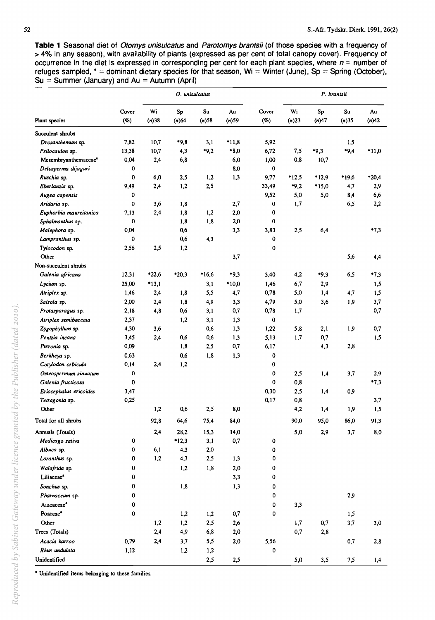**Table 1** Seasonal diet of Otomys unisulcatus and Parotomys brantsii (of those species with a frequency of > 4% in any season), with availability of plants (expressed as per cent of total canopy cover). Frequency of occurrence in the diet is expressed in corresponding per cent for each plant species, where  $n =$  number of refuges sampled, \* = dominant dietary species for that season. Wi = Winter (June), Sp = Spring (October),  $Su = Summer (January)$  and  $Au = Autumm (April)$ 

|                                  |                 | O. unisulcatus |             |                |                | P. brantsii  |                |             |             |             |
|----------------------------------|-----------------|----------------|-------------|----------------|----------------|--------------|----------------|-------------|-------------|-------------|
| Plant species                    | Cover<br>$($ %) | Wi<br>$(n)$ 38 | Sp<br>(n)64 | Su<br>$(n)$ 58 | Au<br>$(n)$ 59 | Cover<br>(%) | Wi<br>$(n)$ 23 | Sp<br>(n)47 | Su<br>(n)35 | Au<br>(n)42 |
| Succulent shrubs                 |                 |                |             |                |                |              |                |             |             |             |
| Drosanthemum sp.                 | 7,82            | 10.7           | $*9,8$      | 3,1            | $*11.8$        | 5.92         |                |             | 1,5         |             |
| Psilocaulon sp.                  | 13,38           | 10,7           | 4.3         | $*9.2$         | $*8,0$         | 6,72         | 7,5            | $*9,3$      | $*9.4$      | $*11,0$     |
| Mesembryanthemaceae <sup>4</sup> | 0,04            | 2,4            | 6,8         |                | 6,0            | 1,00         | 0,8            | 10,7        |             |             |
| Delosperma dijaguri              | 0               |                |             |                | 8,0            | 0            |                |             |             |             |
| Ruschia sp.                      | 0               | 6,0            | 2,5         | 1,2            | 1,3            | 9,77         | $*12,5$        | $*12,9$     | *19,6       | $*20,4$     |
| Eberlanzia sp.                   | 9,49            | 2,4            | 1,2         | 2,5            |                | 33,49        | $*9,2$         | $*15,0$     | 4,7         | 2,9         |
| Augea capensis                   | 0               |                |             |                |                | 9,52         | 5,0            | 5,0         | 8,4         | 6,6         |
| Aridaria sp.                     | 0               | 3,6            | 1,8         |                | 2,7            | 0            | 1,7            |             | 6,5         | 2,2         |
| Euphorbia maureitanica           | 7.13            | 2,4            | 1,8         | 1,2            | 2,0            | 0            |                |             |             |             |
| Sphalmanthus sp.                 | 0               |                | 1.8         | 1,8            | 2,0            | 0            |                |             |             |             |
| Malephora sp.                    | 0,04            |                | 0,6         |                | 3,3            | 3,83         | 2,5            | 6,4         |             | $*7,3$      |
| Lampranthus sp.                  | 0               |                | 0,6         | 4,3            |                | 0            |                |             |             |             |
| Tylocodon sp.                    | 2,56            | 2,5            | 1,2         |                |                | 0            |                |             |             |             |
| Other                            |                 |                |             |                | 3,7            |              |                |             | 5.6         | 4,4         |
| Non-succulent shrubs             |                 |                |             |                |                |              |                |             |             |             |
| Galenia africana                 | 12,31           | $*22,6$        | $*20,3$     | *16,6          | $*9,3$         | 3.40         | 4,2            | $*9,3$      | 6,5         | $*7.3$      |
| Lycium sp.                       | 25,00           | $*13.1$        |             | 3,1            | *10,0          | 1,46         | 6.7            | 2,9         |             | 1,5         |
| Atriplex sp.                     | 1,46            | 2,4            | 1,8         | 5.5            | 4,7            | 0,78         | 5,0            | 1,4         | 4,7         | 1,5         |
|                                  | 2,00            |                | 1,8         |                |                | 4,79         |                |             | 1.9         | 3,7         |
| Salsola sp.                      | 2,18            | 2,4            | 0.6         | 4,9            | 3,3            | 0,78         | 5,0            | 3,6         |             | 0,7         |
| Protasparagus sp.                |                 | 4,8            |             | 3,1            | 0,7            |              | 1,7            |             |             |             |
| Atriplex semibaccata             | 2,37            |                | 1,2         | 3,1            | 1,3            | 0            |                |             |             |             |
| Zygophyllum sp.                  | 4,30            | 3,6            |             | 0,6            | 1,3            | 1,22         | 5,8            | 2,1         | 1,9         | 0,7         |
| Pentzia incana                   | 3,45            | 2,4            | 0,6         | 0,6            | 1,3            | 5,13         | 1,7            | 0,7         |             | 1,5         |
| Pteronia sp.                     | 0,09            |                | 1,8         | 2.5            | 0,7            | 6.17         |                | 4,3         | 2,8         |             |
| Berkheya sp.                     | 0.63            |                | 0.6         | 1.8            | 1,3            | 0            |                |             |             |             |
| Cotylodon orbicula               | 0.14            | 2,4            | 1,2         |                |                | 0            |                |             |             |             |
| Osteospermum sinuatum            | 0               |                |             |                |                | 0            | 2,5            | 1,4         | 3,7         | 2,9         |
| Galenia fructicosa               | 0               |                |             |                |                | 0            | 0,8            |             |             | $*7,3$      |
| Eriocephalus ericoides           | 3,47            |                |             |                |                | 0,30         | 2,5            | 1,4         | 0,9         |             |
| Tetragonia sp.                   | 0,25            |                |             |                |                | 0,17         | 0,8            |             |             | 3,7         |
| Other                            |                 | 1,2            | 0,6         | 2,5            | 8,0            |              | 4,2            | 1.4         | 1,9         | 1.5         |
| Total for all shrubs             |                 | 92,8           | 64,6        | 75,4           | 84,0           |              | 90,0           | 95,0        | 86,0        | 91,3        |
| Annuals (Totals)                 |                 | 2,4            | 28,2        | 15,3           | 14,0           |              | 5,0            | 2,9         | 3,7         | 8,0         |
| Medicago sativa                  | 0               |                | $*12,3$     | 3,1            | 0,7            | $\pmb{0}$    |                |             |             |             |
| Albuca sp.                       | 0               | 6,1            | 4,3         | 2,0            |                | $\pmb{0}$    |                |             |             |             |
| Loranthus sp.                    | 0               | 1,2            | 4,3         | 2,5            | 1,3            | 0            |                |             |             |             |
| Walafrida sp.                    | 0               |                | 1,2         | 1,8            | $2,0$          | 0            |                |             |             |             |
| Liliaceae <sup>*</sup>           | 0               |                |             |                | 3,3            | 0            |                |             |             |             |
| Sonchus sp.                      | 0               |                | 1,8         |                | 1,3            | 0            |                |             |             |             |
| Pharnaceum sp.                   | 0               |                |             |                |                | 0            |                |             | 2,9         |             |
| Aizoaceae <sup>4</sup>           | 0               |                |             |                |                | 0            | 3,3            |             |             |             |
| Poaceae <sup>*</sup>             | 0               |                | 1,2         | 1,2            | 0,7            | 0            |                |             | 1,5         |             |
| Other                            |                 | 1,2            | 1,2         | 2,5            | 2,6            |              | 1,7            | 0,7         | 3,7         | 3,0         |
| Trees (Totals)                   |                 | 2,4            | 4,9         | 6,8            | 2,0            |              | 0,7            | 2,8         |             |             |
| Acacia karroo                    | 0,79            | 2,4            | 3,7         | 5,5            | 2,0            | 5,56         |                |             | 0,7         | 2,8         |
| Rhus undulata                    | 1,12            |                | 1,2         | 1,2            |                | 0            |                |             |             |             |
| Unidentified                     |                 |                |             | 2,5            | 2,5            |              | 5,0            | 3,5         | 7,5         | 1,4         |

" Unidentified items belonging to these families.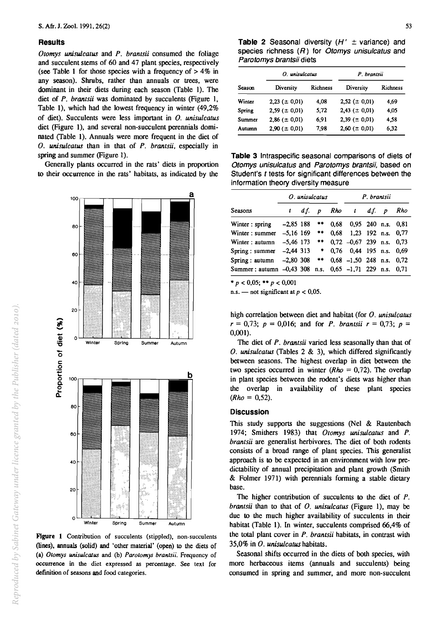100

#### **Results**

*Otomys unisulcatus* and *P. brantsii* consumed the foliage and succulent stems of 60 and 47 plant species, respectively (see Table 1 for those species with a frequency of  $> 4\%$  in any season). Shrubs, rather than annuals or trees, were dominant in their diets during each season (Table 1). The diet of *P. brantsii* was dominated by succulents (Figure I, Table I), which had the lowest frequency in winter (49,2% of diet). Succulents were less important in *O. unisulcatus*  diet (Figure I), and several non-succulent perennials dominated (Table I). Annuals were more frequent in the diet of *O. unisulcatus* than in that of *P. brantsii.* especially in spring and summer (Figure 1).

Generally plants occurred in the rats' diets in proportion to their occurrence in the rats' habitats, as indicated by the

a



**Table 2** Seasonal diversity  $(H' \pm \text{variance})$  and species richness  $(R)$  for Otomys unisulcatus and Parotomys brantsii diets

|        | O. unisulcatus      |          | P. brantsii         |          |  |  |
|--------|---------------------|----------|---------------------|----------|--|--|
| Season | Diversity           | Richness | Diversity           | Richness |  |  |
| Winter | $2,23 (= 0,01)$     | 4.08     | $2,52 \ (\pm 0,01)$ | 4.69     |  |  |
| Spring | $2,59 \ (\pm 0.01)$ | 5,72     | $2,43 \ (\pm 0.01)$ | 4.05     |  |  |
| Summer | $2,86 \ (\pm 0.01)$ | 6.91     | $2,39 \ (\pm 0.01)$ | 4.58     |  |  |
| Autumn | $2,90 \ (\pm 0.01)$ | 7,98     | $2,60 \ (\pm 0.01)$ | 6.32     |  |  |

**Table 3** Intraspecific seasonal comparisons of diets of Otomys unisulcatus and Parotomys brantsii, based on Student's t tests for significant differences between the information theory diversity measure

|                             | O. unisulcatus |     |                  |      | P. brantsii                   |     |                  |                        |
|-----------------------------|----------------|-----|------------------|------|-------------------------------|-----|------------------|------------------------|
| Seasons                     | ı              | df. | $\boldsymbol{p}$ |      | Rho t                         | df. | $\boldsymbol{p}$ | Rho                    |
| Winter: spring              | $-2,85$ 188    |     | $***$            | 0.68 |                               |     |                  | $0.95$ 240 n.s. $0.81$ |
| Winter: summer              | $-5.16$ 169    |     | **               | 0.68 |                               |     |                  | 1.23 192 n.s. 0.77     |
| Winter: autumn              | $-5.46$ 173    |     | $\pm\pm$         |      | $0.72 -0.67$ 239 n.s. 0.73    |     |                  |                        |
| Spring: summer              | $-2,44$ 313    |     | $\rightarrow$    |      | 0.76 0.44 195 n.s. 0.69       |     |                  |                        |
| Spring: autumn              | $-2,80$ 308    |     | **               |      | $0.68$ -1.50 248 n.s. 0.72    |     |                  |                        |
| Summer : autumn $-0.43$ 308 |                |     |                  |      | n.s. 0,65 -1,71 229 n.s. 0,71 |     |                  |                        |

\*  $p < 0.05$ ; \*\*  $p < 0.001$ 

n.s. - not significant at  $p < 0.05$ .

high correlation between diet and habitat (for *O. unisulcatus*   $r = 0.73$ ;  $p = 0.016$ ; and for *P. brantsii*  $r = 0.73$ ;  $p =$  $0.001$ ).

The diet of *P. brantsii* varied less seasonally than that of *O. unisulcatus* (Tables 2 & 3), which differed significantly between seasons. The highest overlap in diet between the two species occurred in winter  $(Rho = 0.72)$ . The overlap in plant species between the rodent's diets was higher than the overlap in availability of these plant species  $(Rho = 0.52)$ .

#### **Discussion**

This study supports the suggestions (Nel & Rautenbach 1974; Smithers 1983) that *Otomys unisulcatus* and *P. brantsii* are generalist herbivores. The diet of both rodents consists of a broad range of plant species. This generalist approach is to be expected in an environment with low predictability of annual precipitation and plant growth (Smith & Folmer 1971) with perennials forming a stable dietary base.

The higher contribution of succulents to the diet of P. *brantsii* than to that of *O. unisulcatus* (Figure 1), may be due to the much higher availability of succulents in their habitat (Table 1). In winter, succulents comprised 66,4% of the total plant cover in *P. brantsii* habitats, in contrast with 35,0% in *O. unisulcatus* habitats.

Seasonal shifts occurred in the diets of both species. with more herbaceous items (annuals and succulents) being consumed in spring and summer, and more non-succulent